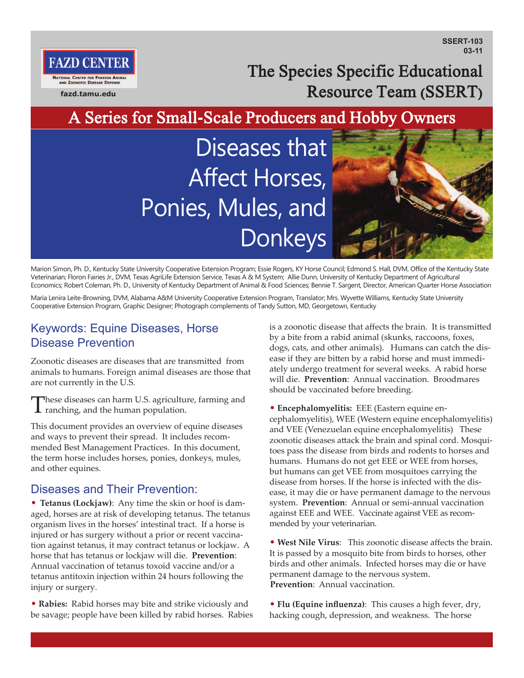**SSERT-103 03-11**

The Species Specific Educational Resource Team (SSERT)

A Series for Small-Scale Producers and Hobby Owners

Diseases that Affect Horses, Ponies, Mules, and Donkeys



Marion Simon, Ph. D., Kentucky State University Cooperative Extension Program; Essie Rogers, KY Horse Council; Edmond S. Hall, DVM, Office of the Kentucky State Veterinarian; Floron Fairies Jr., DVM, Texas AgriLife Extension Service, Texas A & M System; Allie Dunn, University of Kentucky Department of Agricultural Economics; Robert Coleman, Ph. D., University of Kentucky Department of Animal & Food Sciences; Bennie T. Sargent, Director, American Quarter Horse Association

Maria Lenira Leite-Browning, DVM, Alabama A&M University Cooperative Extension Program, Translator; Mrs. Wyvette Williams, Kentucky State University Cooperative Extension Program, Graphic Designer; Photograph complements of Tandy Sutton, MD, Georgetown, Kentucky

## Keywords: Equine Diseases, Horse Disease Prevention

**fazd.tamu.edu**

**NATIONAL CENTER FOR FOREIGN ANIMA<br>AND ZOONOTIC DISEASE DEFENSE** 

FAZD CENTE

Zoonotic diseases are diseases that are transmitted from animals to humans. Foreign animal diseases are those that are not currently in the U.S.

These diseases can harm U.S. agriculture, farming and ranching, and the human population.

This document provides an overview of equine diseases and ways to prevent their spread. It includes recommended Best Management Practices. In this document, the term horse includes horses, ponies, donkeys, mules, and other equines.

### Diseases and Their Prevention:

• **Tetanus (Lockjaw)**: Any time the skin or hoof is damaged, horses are at risk of developing tetanus. The tetanus organism lives in the horses' intestinal tract. If a horse is injured or has surgery without a prior or recent vaccination against tetanus, it may contract tetanus or lockjaw. A horse that has tetanus or lockjaw will die. **Prevention**: Annual vaccination of tetanus toxoid vaccine and/or a tetanus antitoxin injection within 24 hours following the injury or surgery.

• **Rabies:** Rabid horses may bite and strike viciously and be savage; people have been killed by rabid horses. Rabies is a zoonotic disease that affects the brain. It is transmitted by a bite from a rabid animal (skunks, raccoons, foxes, dogs, cats, and other animals). Humans can catch the disease if they are bitten by a rabid horse and must immediately undergo treatment for several weeks. A rabid horse will die. **Prevention**: Annual vaccination. Broodmares should be vaccinated before breeding.

• **Encephalomyelitis:** EEE (Eastern equine encephalomyelitis), WEE (Western equine encephalomyelitis) and VEE (Venezuelan equine encephalomyelitis) These zoonotic diseases attack the brain and spinal cord. Mosquitoes pass the disease from birds and rodents to horses and humans. Humans do not get EEE or WEE from horses, but humans can get VEE from mosquitoes carrying the disease from horses. If the horse is infected with the disease, it may die or have permanent damage to the nervous system. **Prevention**: Annual or semi-annual vaccination against EEE and WEE. Vaccinate against VEE as recommended by your veterinarian.

• **West Nile Virus**: This zoonotic disease affects the brain. It is passed by a mosquito bite from birds to horses, other birds and other animals. Infected horses may die or have permanent damage to the nervous system. **Prevention**: Annual vaccination.

• **Flu (Equine influenza)**: This causes a high fever, dry, hacking cough, depression, and weakness. The horse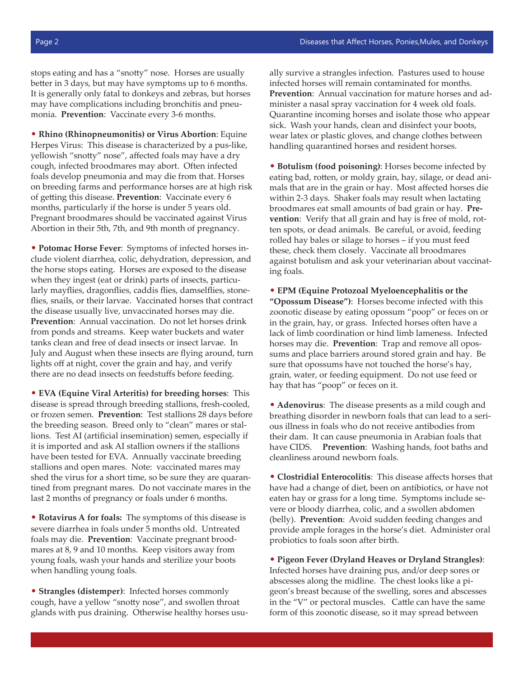stops eating and has a "snotty" nose. Horses are usually better in 3 days, but may have symptoms up to 6 months. It is generally only fatal to donkeys and zebras, but horses may have complications including bronchitis and pneumonia. **Prevention**: Vaccinate every 3-6 months.

• **Rhino (Rhinopneumonitis) or Virus Abortion**: Equine Herpes Virus: This disease is characterized by a pus-like, yellowish "snotty" nose", affected foals may have a dry cough, infected broodmares may abort. Often infected foals develop pneumonia and may die from that. Horses on breeding farms and performance horses are at high risk of getting this disease. **Prevention**: Vaccinate every 6 months, particularly if the horse is under 5 years old. Pregnant broodmares should be vaccinated against Virus Abortion in their 5th, 7th, and 9th month of pregnancy.

• **Potomac Horse Fever**: Symptoms of infected horses include violent diarrhea, colic, dehydration, depression, and the horse stops eating. Horses are exposed to the disease when they ingest (eat or drink) parts of insects, particularly mayflies, dragonflies, caddis flies, damselflies, stoneflies, snails, or their larvae. Vaccinated horses that contract the disease usually live, unvaccinated horses may die. **Prevention**: Annual vaccination. Do not let horses drink from ponds and streams. Keep water buckets and water tanks clean and free of dead insects or insect larvae. In July and August when these insects are flying around, turn lights off at night, cover the grain and hay, and verify there are no dead insects on feedstuffs before feeding.

• **EVA (Equine Viral Arteritis) for breeding horses**: This disease is spread through breeding stallions, fresh-cooled, or frozen semen. **Prevention**: Test stallions 28 days before the breeding season. Breed only to "clean" mares or stallions. Test AI (artificial insemination) semen, especially if it is imported and ask AI stallion owners if the stallions have been tested for EVA. Annually vaccinate breeding stallions and open mares. Note: vaccinated mares may shed the virus for a short time, so be sure they are quarantined from pregnant mares. Do not vaccinate mares in the last 2 months of pregnancy or foals under 6 months.

• **Rotavirus A for foals:** The symptoms of this disease is severe diarrhea in foals under 5 months old. Untreated foals may die. **Prevention**: Vaccinate pregnant broodmares at 8, 9 and 10 months. Keep visitors away from young foals, wash your hands and sterilize your boots when handling young foals.

• **Strangles (distemper)**: Infected horses commonly cough, have a yellow "snotty nose", and swollen throat glands with pus draining. Otherwise healthy horses usually survive a strangles infection. Pastures used to house infected horses will remain contaminated for months. **Prevention**: Annual vaccination for mature horses and administer a nasal spray vaccination for 4 week old foals. Quarantine incoming horses and isolate those who appear sick. Wash your hands, clean and disinfect your boots, wear latex or plastic gloves, and change clothes between handling quarantined horses and resident horses.

• **Botulism (food poisoning)**: Horses become infected by eating bad, rotten, or moldy grain, hay, silage, or dead animals that are in the grain or hay. Most affected horses die within 2-3 days. Shaker foals may result when lactating broodmares eat small amounts of bad grain or hay. **Prevention**: Verify that all grain and hay is free of mold, rotten spots, or dead animals. Be careful, or avoid, feeding rolled hay bales or silage to horses – if you must feed these, check them closely. Vaccinate all broodmares against botulism and ask your veterinarian about vaccinating foals.

• **EPM (Equine Protozoal Myeloencephalitis or the "Opossum Disease")**: Horses become infected with this zoonotic disease by eating opossum "poop" or feces on or in the grain, hay, or grass. Infected horses often have a lack of limb coordination or hind limb lameness. Infected horses may die. **Prevention**: Trap and remove all opossums and place barriers around stored grain and hay. Be sure that opossums have not touched the horse's hay, grain, water, or feeding equipment. Do not use feed or hay that has "poop" or feces on it.

• **Adenovirus**: The disease presents as a mild cough and breathing disorder in newborn foals that can lead to a serious illness in foals who do not receive antibodies from their dam. It can cause pneumonia in Arabian foals that have CIDS. **Prevention**: Washing hands, foot baths and cleanliness around newborn foals.

• **Clostridial Enterocolitis**: This disease affects horses that have had a change of diet, been on antibiotics, or have not eaten hay or grass for a long time. Symptoms include severe or bloody diarrhea, colic, and a swollen abdomen (belly). **Prevention**: Avoid sudden feeding changes and provide ample forages in the horse's diet. Administer oral probiotics to foals soon after birth.

• **Pigeon Fever (Dryland Heaves or Dryland Strangles)**: Infected horses have draining pus, and/or deep sores or abscesses along the midline. The chest looks like a pigeon's breast because of the swelling, sores and abscesses in the "V" or pectoral muscles. Cattle can have the same form of this zoonotic disease, so it may spread between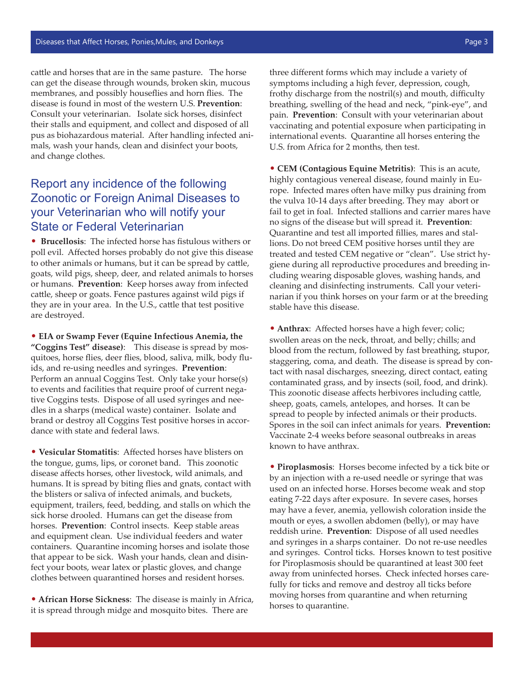cattle and horses that are in the same pasture. The horse can get the disease through wounds, broken skin, mucous membranes, and possibly houseflies and horn flies. The disease is found in most of the western U.S. **Prevention**: Consult your veterinarian. Isolate sick horses, disinfect their stalls and equipment, and collect and disposed of all pus as biohazardous material. After handling infected animals, wash your hands, clean and disinfect your boots, and change clothes.

# Report any incidence of the following Zoonotic or Foreign Animal Diseases to your Veterinarian who will notify your State or Federal Veterinarian

• **Brucellosis**: The infected horse has fistulous withers or poll evil. Affected horses probably do not give this disease to other animals or humans, but it can be spread by cattle, goats, wild pigs, sheep, deer, and related animals to horses or humans. **Prevention**: Keep horses away from infected cattle, sheep or goats. Fence pastures against wild pigs if they are in your area. In the U.S., cattle that test positive are destroyed.

• **EIA or Swamp Fever (Equine Infectious Anemia, the "Coggins Test" disease)**: This disease is spread by mosquitoes, horse flies, deer flies, blood, saliva, milk, body fluids, and re-using needles and syringes. **Prevention**: Perform an annual Coggins Test. Only take your horse(s) to events and facilities that require proof of current negative Coggins tests. Dispose of all used syringes and needles in a sharps (medical waste) container. Isolate and brand or destroy all Coggins Test positive horses in accordance with state and federal laws.

• **Vesicular Stomatitis**: Affected horses have blisters on the tongue, gums, lips, or coronet band. This zoonotic disease affects horses, other livestock, wild animals, and humans. It is spread by biting flies and gnats, contact with the blisters or saliva of infected animals, and buckets, equipment, trailers, feed, bedding, and stalls on which the sick horse drooled. Humans can get the disease from horses. **Prevention**: Control insects. Keep stable areas and equipment clean. Use individual feeders and water containers. Quarantine incoming horses and isolate those that appear to be sick. Wash your hands, clean and disinfect your boots, wear latex or plastic gloves, and change clothes between quarantined horses and resident horses.

• **African Horse Sickness**: The disease is mainly in Africa, it is spread through midge and mosquito bites. There are

three different forms which may include a variety of symptoms including a high fever, depression, cough, frothy discharge from the nostril(s) and mouth, difficulty breathing, swelling of the head and neck, "pink-eye", and pain. **Prevention**: Consult with your veterinarian about vaccinating and potential exposure when participating in international events. Quarantine all horses entering the U.S. from Africa for 2 months, then test.

• **CEM (Contagious Equine Metritis)**: This is an acute, highly contagious venereal disease, found mainly in Europe. Infected mares often have milky pus draining from the vulva 10-14 days after breeding. They may abort or fail to get in foal. Infected stallions and carrier mares have no signs of the disease but will spread it. **Prevention**: Quarantine and test all imported fillies, mares and stallions. Do not breed CEM positive horses until they are treated and tested CEM negative or "clean". Use strict hygiene during all reproductive procedures and breeding including wearing disposable gloves, washing hands, and cleaning and disinfecting instruments. Call your veterinarian if you think horses on your farm or at the breeding stable have this disease.

• **Anthrax**: Affected horses have a high fever; colic; swollen areas on the neck, throat, and belly; chills; and blood from the rectum, followed by fast breathing, stupor, staggering, coma, and death. The disease is spread by contact with nasal discharges, sneezing, direct contact, eating contaminated grass, and by insects (soil, food, and drink). This zoonotic disease affects herbivores including cattle, sheep, goats, camels, antelopes, and horses. It can be spread to people by infected animals or their products. Spores in the soil can infect animals for years. **Prevention:** Vaccinate 2-4 weeks before seasonal outbreaks in areas known to have anthrax.

• **Piroplasmosis**: Horses become infected by a tick bite or by an injection with a re-used needle or syringe that was used on an infected horse. Horses become weak and stop eating 7-22 days after exposure. In severe cases, horses may have a fever, anemia, yellowish coloration inside the mouth or eyes, a swollen abdomen (belly), or may have reddish urine. **Prevention**: Dispose of all used needles and syringes in a sharps container. Do not re-use needles and syringes. Control ticks. Horses known to test positive for Piroplasmosis should be quarantined at least 300 feet away from uninfected horses. Check infected horses carefully for ticks and remove and destroy all ticks before moving horses from quarantine and when returning horses to quarantine.